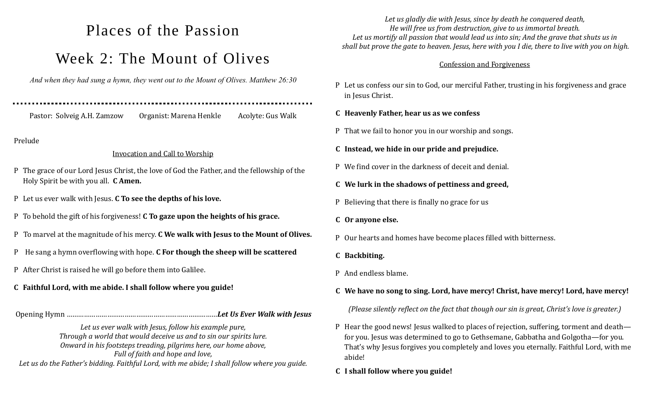# Places of the Passion Week 2: The Mount of Olives

*And when they had sung a hymn, they went out to the Mount of Olives. Matthew 26:30*

Pastor: Solveig A.H. Zamzow Organist: Marena Henkle Acolyte: Gus Walk

Prelude

#### Invocation and Call to Worship

- P The grace of our Lord Jesus Christ, the love of God the Father, and the fellowship of the Holy Spirit be with you all. **C Amen.**
- P Let us ever walk with Jesus. **C To see the depths of his love.**
- P To behold the gift of his forgiveness! **C To gaze upon the heights of his grace.**
- P To marvel at the magnitude of his mercy. **C We walk with Jesus to the Mount of Olives.**
- P He sang a hymn overflowing with hope. **C For though the sheep will be scattered**
- P After Christ is raised he will go before them into Galilee.

## **C Faithful Lord, with me abide. I shall follow where you guide!**

#### Opening Hymn ……………………………………………………………………*Let Us Ever Walk with Jesus*

*Let us ever walk with Jesus, follow his example pure, Through a world that would deceive us and to sin our spirits lure. Onward in his footsteps treading, pilgrims here, our home above, Full of faith and hope and love, Let us do the Father's bidding. Faithful Lord, with me abide; I shall follow where you guide.*

*Let us gladly die with Jesus, since by death he conquered death, He will free us from destruction, give to us immortal breath. Let us mortify all passion that would lead us into sin; And the grave that shuts us in shall but prove the gate to heaven. Jesus, here with you I die, there to live with you on high.* 

#### Confession and Forgiveness

- P Let us confess our sin to God, our merciful Father, trusting in his forgiveness and grace in Jesus Christ.
- **C Heavenly Father, hear us as we confess**
- P That we fail to honor you in our worship and songs.
- **C Instead, we hide in our pride and prejudice.**
- P We find cover in the darkness of deceit and denial.
- **C We lurk in the shadows of pettiness and greed,**
- P Believing that there is finally no grace for us
- **C Or anyone else.**
- P Our hearts and homes have become places filled with bitterness.
- **C Backbiting.**
- P And endless blame.

# **C We have no song to sing. Lord, have mercy! Christ, have mercy! Lord, have mercy!**

*(Please silently reflect on the fact that though our sin is great, Christ's love is greater.)*

- P Hear the good news! Jesus walked to places of rejection, suffering, torment and death for you. Jesus was determined to go to Gethsemane, Gabbatha and Golgotha—for you. That's why Jesus forgives you completely and loves you eternally. Faithful Lord, with me abide!
- **C I shall follow where you guide!**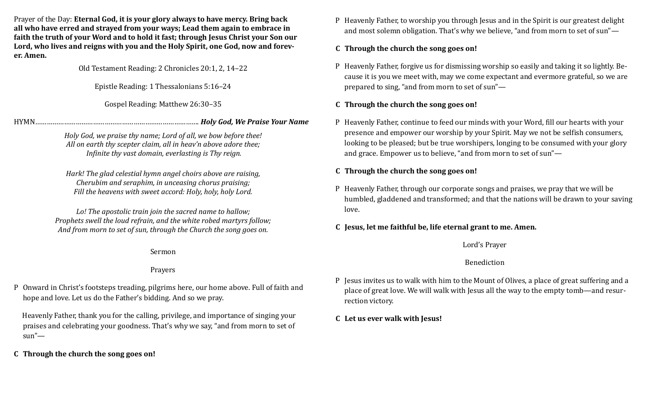Prayer of the Day: **Eternal God, it is your glory always to have mercy. Bring back all who have erred and strayed from your ways; Lead them again to embrace in faith the truth of your Word and to hold it fast; through Jesus Christ your Son our Lord, who lives and reigns with you and the Holy Spirit, one God, now and forever. Amen.** 

Old Testament Reading: 2 Chronicles 20:1, 2, 14–22

Epistle Reading: 1 Thessalonians 5:16–24

Gospel Reading: Matthew 26:30–35

HYMN…………………………………………………………………………. *Holy God, We Praise Your Name*

*Holy God, we praise thy name; Lord of all, we bow before thee! All on earth thy scepter claim, all in heav'n above adore thee; Infinite thy vast domain, everlasting is Thy reign.*

*Hark! The glad celestial hymn angel choirs above are raising, Cherubim and seraphim, in unceasing chorus praising; Fill the heavens with sweet accord: Holy, holy, holy Lord.*

*Lo! The apostolic train join the sacred name to hallow; Prophets swell the loud refrain, and the white robed martyrs follow; And from morn to set of sun, through the Church the song goes on.*

Sermon

### Prayers

P Onward in Christ's footsteps treading, pilgrims here, our home above. Full of faith and hope and love. Let us do the Father's bidding. And so we pray.

 Heavenly Father, thank you for the calling, privilege, and importance of singing your praises and celebrating your goodness. That's why we say, "and from morn to set of  $sun''$ —

**C Through the church the song goes on!**

P Heavenly Father, to worship you through Jesus and in the Spirit is our greatest delight and most solemn obligation. That's why we believe, "and from morn to set of sun"—

#### **C Through the church the song goes on!**

P Heavenly Father, forgive us for dismissing worship so easily and taking it so lightly. Because it is you we meet with, may we come expectant and evermore grateful, so we are prepared to sing, "and from morn to set of sun"—

#### **C Through the church the song goes on!**

P Heavenly Father, continue to feed our minds with your Word, fill our hearts with your presence and empower our worship by your Spirit. May we not be selfish consumers, looking to be pleased; but be true worshipers, longing to be consumed with your glory and grace. Empower us to believe, "and from morn to set of sun"—

#### **C Through the church the song goes on!**

P Heavenly Father, through our corporate songs and praises, we pray that we will be humbled, gladdened and transformed; and that the nations will be drawn to your saving love.

#### **C Jesus, let me faithful be, life eternal grant to me. Amen.**

Lord's Prayer

### Benediction

- P Jesus invites us to walk with him to the Mount of Olives, a place of great suffering and a place of great love. We will walk with Jesus all the way to the empty tomb—and resurrection victory.
- **C Let us ever walk with Jesus!**